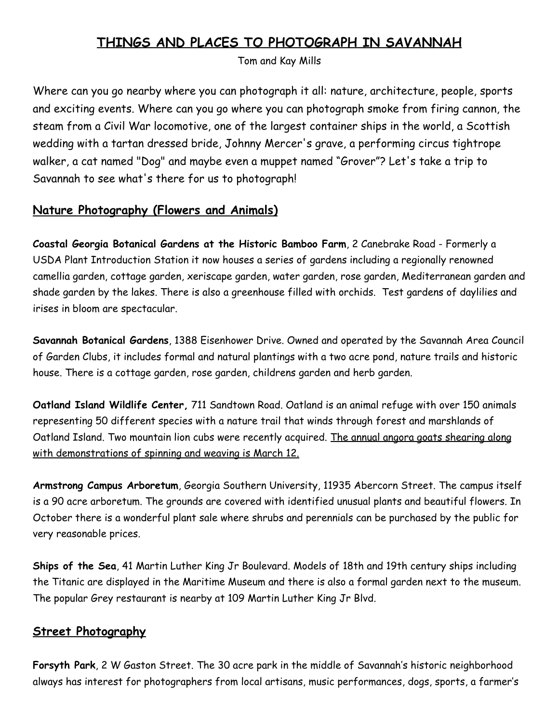# **THINGS AND PLACES TO PHOTOGRAPH IN SAVANNAH**

Tom and Kay Mills

Where can you go nearby where you can photograph it all: nature, architecture, people, sports and exciting events. Where can you go where you can photograph smoke from firing cannon, the steam from a Civil War locomotive, one of the largest container ships in the world, a Scottish wedding with a tartan dressed bride, Johnny Mercer's grave, a performing circus tightrope walker, a cat named "Dog" and maybe even a muppet named "Grover"? Let's take a trip to Savannah to see what's there for us to photograph!

### **Nature Photography (Flowers and Animals)**

**Coastal Georgia Botanical Gardens at the Historic Bamboo Farm**, 2 Canebrake Road - Formerly a USDA Plant Introduction Station it now houses a series of gardens including a regionally renowned camellia garden, cottage garden, xeriscape garden, water garden, rose garden, Mediterranean garden and shade garden by the lakes. There is also a greenhouse filled with orchids. Test gardens of daylilies and irises in bloom are spectacular.

**Savannah Botanical Gardens**, 1388 Eisenhower Drive. Owned and operated by the Savannah Area Council of Garden Clubs, it includes formal and natural plantings with a two acre pond, nature trails and historic house. There is a cottage garden, rose garden, childrens garden and herb garden.

**Oatland Island Wildlife Center,** 711 Sandtown Road. Oatland is an animal refuge with over 150 animals representing 50 different species with a nature trail that winds through forest and marshlands of Oatland Island. Two mountain lion cubs were recently acquired. The annual angora goats shearing along with demonstrations of spinning and weaving is March 12.

**Armstrong Campus Arboretum**, Georgia Southern University, 11935 Abercorn Street. The campus itself is a 90 acre arboretum. The grounds are covered with identified unusual plants and beautiful flowers. In October there is a wonderful plant sale where shrubs and perennials can be purchased by the public for very reasonable prices.

**Ships of the Sea**, 41 Martin Luther King Jr Boulevard. Models of 18th and 19th century ships including the Titanic are displayed in the Maritime Museum and there is also a formal garden next to the museum. The popular Grey restaurant is nearby at 109 Martin Luther King Jr Blvd.

### **Street Photography**

**Forsyth Park**, 2 W Gaston Street. The 30 acre park in the middle of Savannah's historic neighborhood always has interest for photographers from local artisans, music performances, dogs, sports, a farmer's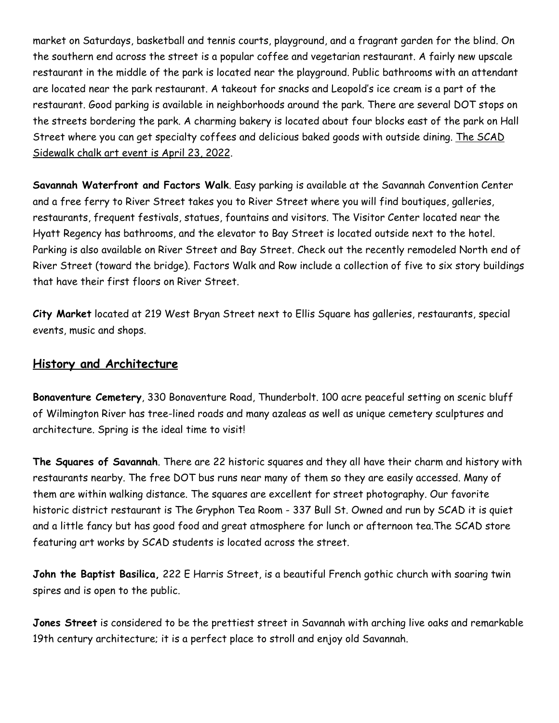market on Saturdays, basketball and tennis courts, playground, and a fragrant garden for the blind. On the southern end across the street is a popular coffee and vegetarian restaurant. A fairly new upscale restaurant in the middle of the park is located near the playground. Public bathrooms with an attendant are located near the park restaurant. A takeout for snacks and Leopold's ice cream is a part of the restaurant. Good parking is available in neighborhoods around the park. There are several DOT stops on the streets bordering the park. A charming bakery is located about four blocks east of the park on Hall Street where you can get specialty coffees and delicious baked goods with outside dining. The SCAD Sidewalk chalk art event is April 23, 2022.

**Savannah Waterfront and Factors Walk**. Easy parking is available at the Savannah Convention Center and a free ferry to River Street takes you to River Street where you will find boutiques, galleries, restaurants, frequent festivals, statues, fountains and visitors. The Visitor Center located near the Hyatt Regency has bathrooms, and the elevator to Bay Street is located outside next to the hotel. Parking is also available on River Street and Bay Street. Check out the recently remodeled North end of River Street (toward the bridge). Factors Walk and Row include a collection of five to six story buildings that have their first floors on River Street.

**City Market** located at 219 West Bryan Street next to Ellis Square has galleries, restaurants, special events, music and shops.

### **History and Architecture**

**Bonaventure Cemetery**, 330 Bonaventure Road, Thunderbolt. 100 acre peaceful setting on scenic bluff of Wilmington River has tree-lined roads and many azaleas as well as unique cemetery sculptures and architecture. Spring is the ideal time to visit!

**The Squares of Savannah**. There are 22 historic squares and they all have their charm and history with restaurants nearby. The free DOT bus runs near many of them so they are easily accessed. Many of them are within walking distance. The squares are excellent for street photography. Our favorite historic district restaurant is The Gryphon Tea Room - 337 Bull St. Owned and run by SCAD it is quiet and a little fancy but has good food and great atmosphere for lunch or afternoon tea.The SCAD store featuring art works by SCAD students is located across the street.

**John the Baptist Basilica,** 222 E Harris Street, is a beautiful French gothic church with soaring twin spires and is open to the public.

**Jones Street** is considered to be the prettiest street in Savannah with arching live oaks and remarkable 19th century architecture; it is a perfect place to stroll and enjoy old Savannah.